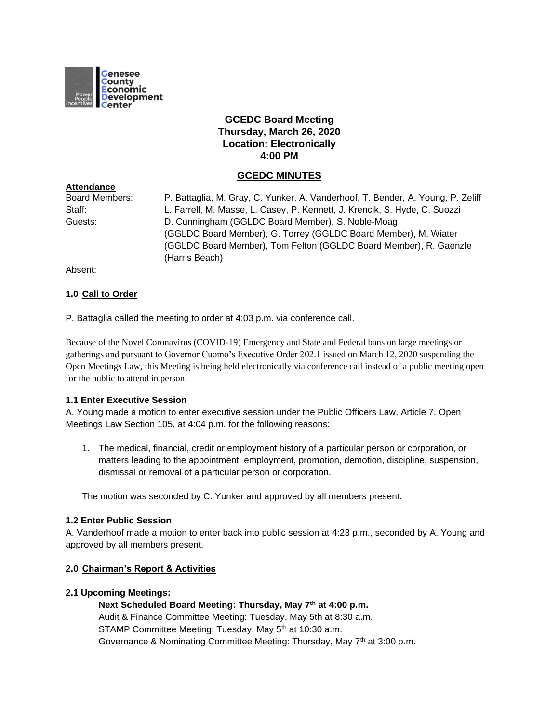

# **GCEDC Board Meeting Thursday, March 26, 2020 Location: Electronically 4:00 PM**

# **GCEDC MINUTES**

| <b>Board Members:</b> | P. Battaglia, M. Gray, C. Yunker, A. Vanderhoof, T. Bender, A. Young, P. Zeliff |
|-----------------------|---------------------------------------------------------------------------------|
| Staff:                | L. Farrell, M. Masse, L. Casey, P. Kennett, J. Krencik, S. Hyde, C. Suozzi      |
| Guests:               | D. Cunningham (GGLDC Board Member), S. Noble-Moag                               |
|                       | (GGLDC Board Member), G. Torrey (GGLDC Board Member), M. Wiater                 |
|                       | (GGLDC Board Member), Tom Felton (GGLDC Board Member), R. Gaenzle               |
|                       | (Harris Beach)                                                                  |

Absent:

**Attendance**

## **1.0 Call to Order**

P. Battaglia called the meeting to order at 4:03 p.m. via conference call.

Because of the Novel Coronavirus (COVID-19) Emergency and State and Federal bans on large meetings or gatherings and pursuant to Governor Cuomo's Executive Order 202.1 issued on March 12, 2020 suspending the Open Meetings Law, this Meeting is being held electronically via conference call instead of a public meeting open for the public to attend in person.

#### **1.1 Enter Executive Session**

A. Young made a motion to enter executive session under the Public Officers Law, Article 7, Open Meetings Law Section 105, at 4:04 p.m. for the following reasons:

1. The medical, financial, credit or employment history of a particular person or corporation, or matters leading to the appointment, employment, promotion, demotion, discipline, suspension, dismissal or removal of a particular person or corporation.

The motion was seconded by C. Yunker and approved by all members present.

#### **1.2 Enter Public Session**

A. Vanderhoof made a motion to enter back into public session at 4:23 p.m., seconded by A. Young and approved by all members present.

#### **2.0 Chairman's Report & Activities**

#### **2.1 Upcoming Meetings:**

**Next Scheduled Board Meeting: Thursday, May 7th at 4:00 p.m.** Audit & Finance Committee Meeting: Tuesday, May 5th at 8:30 a.m. STAMP Committee Meeting: Tuesday, May 5<sup>th</sup> at 10:30 a.m. Governance & Nominating Committee Meeting: Thursday, May 7<sup>th</sup> at 3:00 p.m.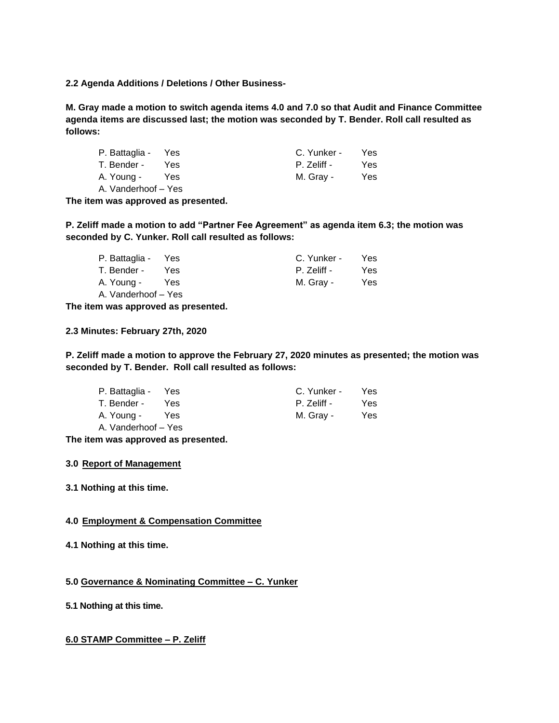**2.2 Agenda Additions / Deletions / Other Business-**

**M. Gray made a motion to switch agenda items 4.0 and 7.0 so that Audit and Finance Committee agenda items are discussed last; the motion was seconded by T. Bender. Roll call resulted as follows:** 

| P. Battaglia - Yes  |            | C. Yunker - | Yes. |
|---------------------|------------|-------------|------|
| T. Bender -         | <b>Yes</b> | P. Zeliff - | Yes. |
| A. Young -          | Yes        | M. Gray -   | Yes. |
| A. Vanderhoof - Yes |            |             |      |

**The item was approved as presented.**

**P. Zeliff made a motion to add "Partner Fee Agreement" as agenda item 6.3; the motion was seconded by C. Yunker. Roll call resulted as follows:** 

| P. Battaglia - Yes  |      | C. Yunker - | Yes. |
|---------------------|------|-------------|------|
| T. Bender -         | Yes. | P. Zeliff - | Yes. |
| A. Young -          | Yes  | M. Gray -   | Yes. |
| A. Vanderhoof - Yes |      |             |      |

**The item was approved as presented.**

**2.3 Minutes: February 27th, 2020**

**P. Zeliff made a motion to approve the February 27, 2020 minutes as presented; the motion was seconded by T. Bender. Roll call resulted as follows:**

| P. Battaglia - Yes  |      | C. Yunker - | Yes. |
|---------------------|------|-------------|------|
| T. Bender -         | Yes. | P. Zeliff - | Yes. |
| A. Young -          | Yes  | M. Gray -   | Yes. |
| A. Vanderhoof - Yes |      |             |      |

**The item was approved as presented.**

#### **3.0 Report of Management**

**3.1 Nothing at this time.**

## **4.0 Employment & Compensation Committee**

**4.1 Nothing at this time.**

**5.0 Governance & Nominating Committee – C. Yunker**

**5.1 Nothing at this time.**

### **6.0 STAMP Committee – P. Zeliff**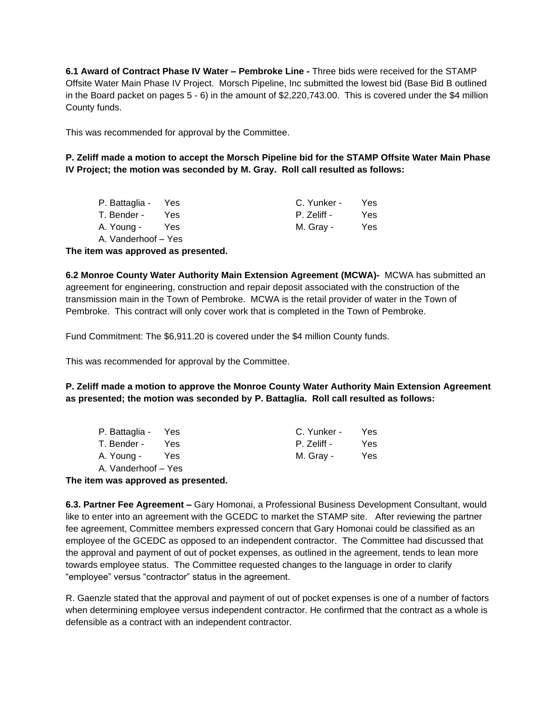**6.1 Award of Contract Phase IV Water – Pembroke Line -** Three bids were received for the STAMP Offsite Water Main Phase IV Project. Morsch Pipeline, Inc submitted the lowest bid (Base Bid B outlined in the Board packet on pages 5 - 6) in the amount of \$2,220,743.00. This is covered under the \$4 million County funds.

This was recommended for approval by the Committee.

**P. Zeliff made a motion to accept the Morsch Pipeline bid for the STAMP Offsite Water Main Phase IV Project; the motion was seconded by M. Gray. Roll call resulted as follows:**

| P. Battaglia - Yes  |            | C. Yunker - | Yes. |
|---------------------|------------|-------------|------|
| T. Bender -         | <b>Yes</b> | P. Zeliff - | Yes. |
| A. Young -          | Yes        | M. Gray -   | Yes. |
| A. Vanderhoof - Yes |            |             |      |

**The item was approved as presented.**

**6.2 Monroe County Water Authority Main Extension Agreement (MCWA)-** MCWA has submitted an agreement for engineering, construction and repair deposit associated with the construction of the transmission main in the Town of Pembroke. MCWA is the retail provider of water in the Town of Pembroke. This contract will only cover work that is completed in the Town of Pembroke.

Fund Commitment: The \$6,911.20 is covered under the \$4 million County funds.

This was recommended for approval by the Committee.

**P. Zeliff made a motion to approve the Monroe County Water Authority Main Extension Agreement as presented; the motion was seconded by P. Battaglia. Roll call resulted as follows:**

| P. Battaglia - Yes  |       | C. Yunker - | Yes  |
|---------------------|-------|-------------|------|
| T. Bender -         | Yes   | P. Zeliff - | Yes. |
| A. Young -          | Yes Y | M. Gray -   | Yes. |
| A. Vanderhoof – Yes |       |             |      |
|                     |       |             |      |

**The item was approved as presented.**

**6.3. Partner Fee Agreement –** Gary Homonai, a Professional Business Development Consultant, would like to enter into an agreement with the GCEDC to market the STAMP site. After reviewing the partner fee agreement, Committee members expressed concern that Gary Homonai could be classified as an employee of the GCEDC as opposed to an independent contractor. The Committee had discussed that the approval and payment of out of pocket expenses, as outlined in the agreement, tends to lean more towards employee status. The Committee requested changes to the language in order to clarify "employee" versus "contractor" status in the agreement.

R. Gaenzle stated that the approval and payment of out of pocket expenses is one of a number of factors when determining employee versus independent contractor. He confirmed that the contract as a whole is defensible as a contract with an independent contractor.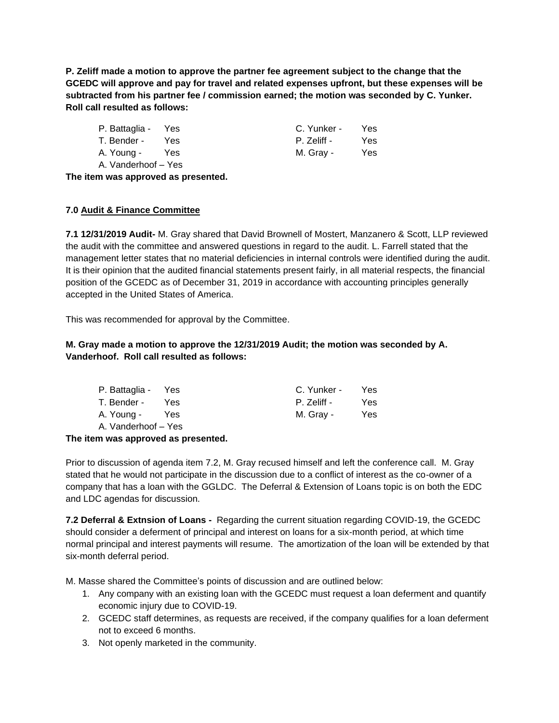**P. Zeliff made a motion to approve the partner fee agreement subject to the change that the GCEDC will approve and pay for travel and related expenses upfront, but these expenses will be subtracted from his partner fee / commission earned; the motion was seconded by C. Yunker. Roll call resulted as follows:**

| P. Battaglia - Yes  |      | C. Yunker - | Yes. |
|---------------------|------|-------------|------|
| T. Bender -         | Yes. | P. Zeliff - | Yes. |
| A. Young -          | Yes  | M. Gray -   | Yes. |
| A. Vanderhoof – Yes |      |             |      |

**The item was approved as presented.**

## **7.0 Audit & Finance Committee**

**7.1 12/31/2019 Audit-** M. Gray shared that David Brownell of Mostert, Manzanero & Scott, LLP reviewed the audit with the committee and answered questions in regard to the audit. L. Farrell stated that the management letter states that no material deficiencies in internal controls were identified during the audit. It is their opinion that the audited financial statements present fairly, in all material respects, the financial position of the GCEDC as of December 31, 2019 in accordance with accounting principles generally accepted in the United States of America.

This was recommended for approval by the Committee.

# **M. Gray made a motion to approve the 12/31/2019 Audit; the motion was seconded by A. Vanderhoof. Roll call resulted as follows:**

| P. Battaglia - Yes  |            | C. Yunker - | Yes. |
|---------------------|------------|-------------|------|
| T. Bender -         | <b>Yes</b> | P. Zeliff - | Yes. |
| A. Young -          | Yes        | M. Gray -   | Yes. |
| A. Vanderhoof – Yes |            |             |      |

## **The item was approved as presented.**

Prior to discussion of agenda item 7.2, M. Gray recused himself and left the conference call. M. Gray stated that he would not participate in the discussion due to a conflict of interest as the co-owner of a company that has a loan with the GGLDC. The Deferral & Extension of Loans topic is on both the EDC and LDC agendas for discussion.

**7.2 Deferral & Extnsion of Loans -** Regarding the current situation regarding COVID-19, the GCEDC should consider a deferment of principal and interest on loans for a six-month period, at which time normal principal and interest payments will resume. The amortization of the loan will be extended by that six-month deferral period.

M. Masse shared the Committee's points of discussion and are outlined below:

- 1. Any company with an existing loan with the GCEDC must request a loan deferment and quantify economic injury due to COVID-19.
- 2. GCEDC staff determines, as requests are received, if the company qualifies for a loan deferment not to exceed 6 months.
- 3. Not openly marketed in the community.